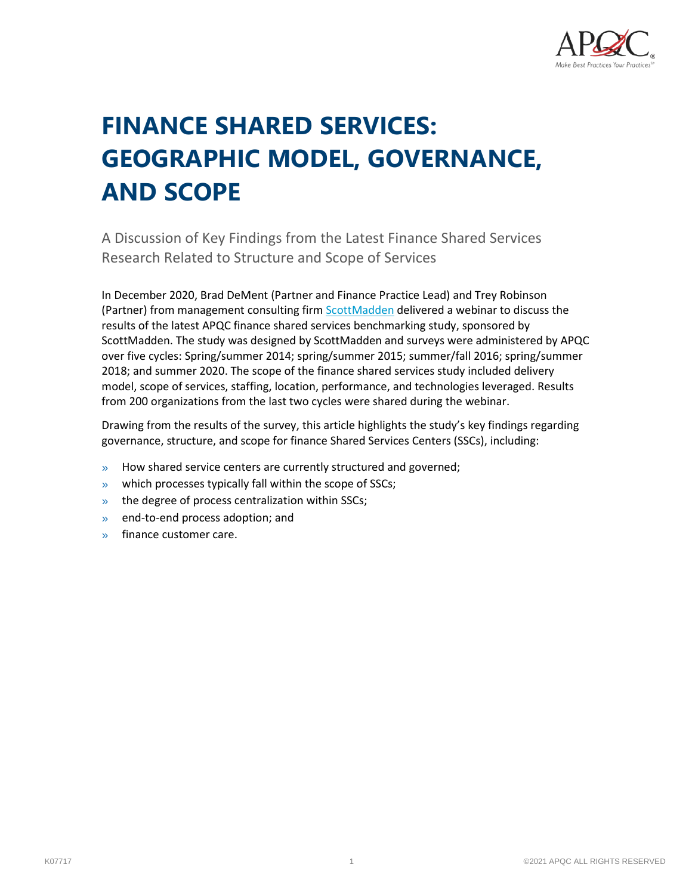

# **FINANCE SHARED SERVICES: GEOGRAPHIC MODEL, GOVERNANCE, AND SCOPE**

A Discussion of Key Findings from the Latest Finance Shared Services Research Related to Structure and Scope of Services

In December 2020, Brad DeMent (Partner and Finance Practice Lead) and Trey Robinson (Partner) from management consulting fir[m ScottMadden](https://www.scottmadden.com/) delivered a webinar to discuss the results of the latest APQC finance shared services benchmarking study, sponsored by ScottMadden. The study was designed by ScottMadden and surveys were administered by APQC over five cycles: Spring/summer 2014; spring/summer 2015; summer/fall 2016; spring/summer 2018; and summer 2020. The scope of the finance shared services study included delivery model, scope of services, staffing, location, performance, and technologies leveraged. Results from 200 organizations from the last two cycles were shared during the webinar.

Drawing from the results of the survey, this article highlights the study's key findings regarding governance, structure, and scope for finance Shared Services Centers (SSCs), including:

- » How shared service centers are currently structured and governed;
- » which processes typically fall within the scope of SSCs;
- » the degree of process centralization within SSCs;
- » end-to-end process adoption; and
- » finance customer care.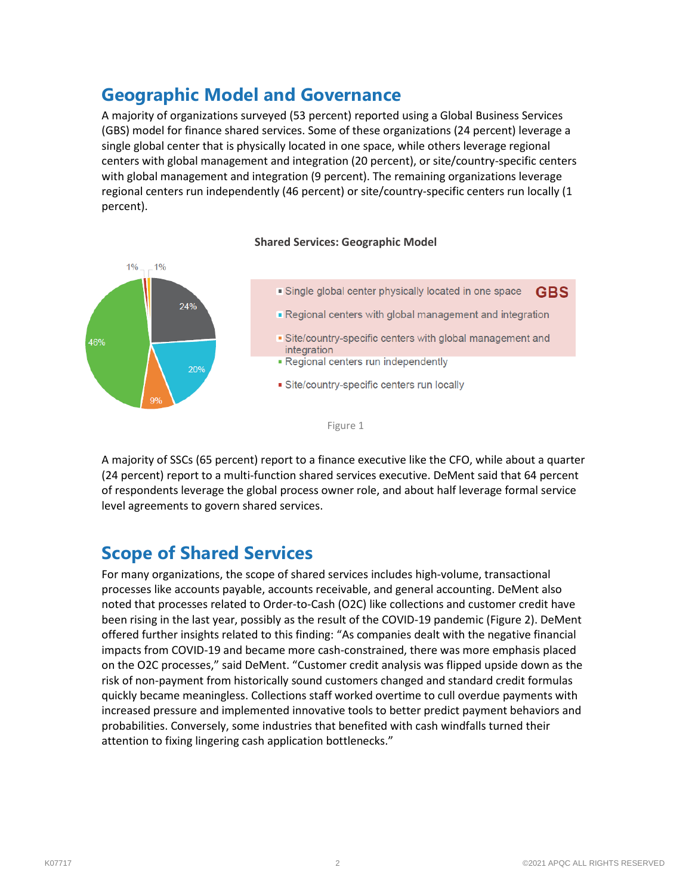### **Geographic Model and Governance**

A majority of organizations surveyed (53 percent) reported using a Global Business Services (GBS) model for finance shared services. Some of these organizations (24 percent) leverage a single global center that is physically located in one space, while others leverage regional centers with global management and integration (20 percent), or site/country-specific centers with global management and integration (9 percent). The remaining organizations leverage regional centers run independently (46 percent) or site/country-specific centers run locally (1 percent).



#### **Shared Services: Geographic Model**

A majority of SSCs (65 percent) report to a finance executive like the CFO, while about a quarter (24 percent) report to a multi-function shared services executive. DeMent said that 64 percent of respondents leverage the global process owner role, and about half leverage formal service level agreements to govern shared services.

### **Scope of Shared Services**

For many organizations, the scope of shared services includes high-volume, transactional processes like accounts payable, accounts receivable, and general accounting. DeMent also noted that processes related to Order-to-Cash (O2C) like collections and customer credit have been rising in the last year, possibly as the result of the COVID-19 pandemic (Figure 2). DeMent offered further insights related to this finding: "As companies dealt with the negative financial impacts from COVID-19 and became more cash-constrained, there was more emphasis placed on the O2C processes," said DeMent. "Customer credit analysis was flipped upside down as the risk of non-payment from historically sound customers changed and standard credit formulas quickly became meaningless. Collections staff worked overtime to cull overdue payments with increased pressure and implemented innovative tools to better predict payment behaviors and probabilities. Conversely, some industries that benefited with cash windfalls turned their attention to fixing lingering cash application bottlenecks."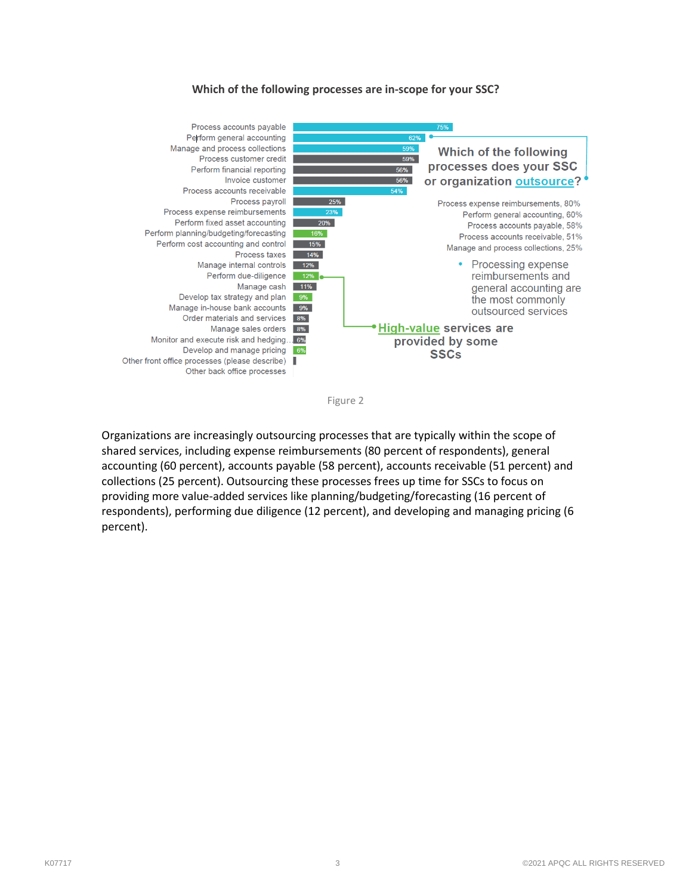#### **Which of the following processes are in-scope for your SSC?**



Figure 2

Organizations are increasingly outsourcing processes that are typically within the scope of shared services, including expense reimbursements (80 percent of respondents), general accounting (60 percent), accounts payable (58 percent), accounts receivable (51 percent) and collections (25 percent). Outsourcing these processes frees up time for SSCs to focus on providing more value-added services like planning/budgeting/forecasting (16 percent of respondents), performing due diligence (12 percent), and developing and managing pricing (6 percent).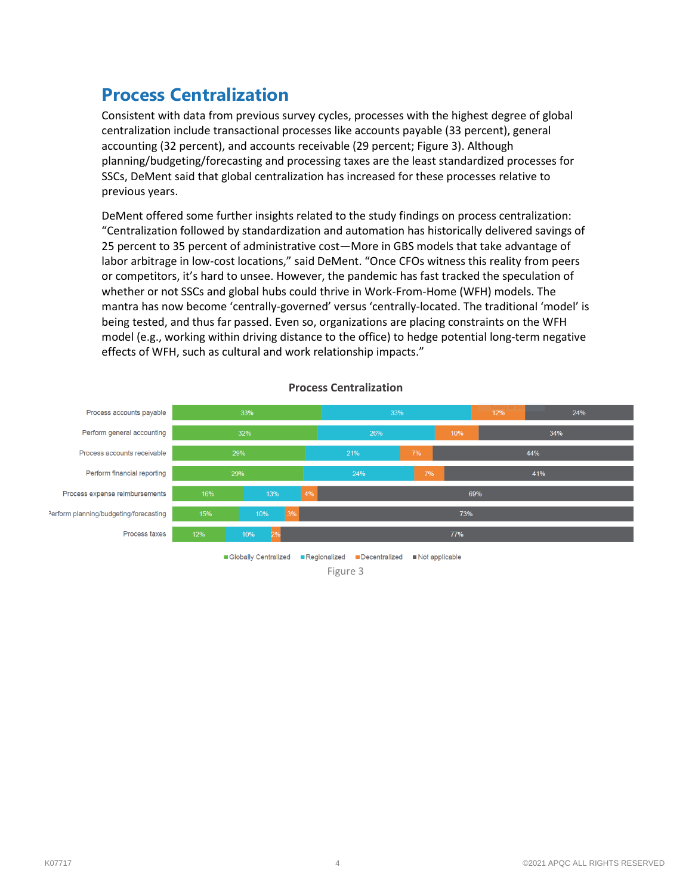### **Process Centralization**

Consistent with data from previous survey cycles, processes with the highest degree of global centralization include transactional processes like accounts payable (33 percent), general accounting (32 percent), and accounts receivable (29 percent; Figure 3). Although planning/budgeting/forecasting and processing taxes are the least standardized processes for SSCs, DeMent said that global centralization has increased for these processes relative to previous years.

DeMent offered some further insights related to the study findings on process centralization: "Centralization followed by standardization and automation has historically delivered savings of 25 percent to 35 percent of administrative cost―More in GBS models that take advantage of labor arbitrage in low-cost locations," said DeMent. "Once CFOs witness this reality from peers or competitors, it's hard to unsee. However, the pandemic has fast tracked the speculation of whether or not SSCs and global hubs could thrive in Work-From-Home (WFH) models. The mantra has now become 'centrally-governed' versus 'centrally-located. The traditional 'model' is being tested, and thus far passed. Even so, organizations are placing constraints on the WFH model (e.g., working within driving distance to the office) to hedge potential long-term negative effects of WFH, such as cultural and work relationship impacts."



#### **Process Centralization**

Globally Centralized ERegionalized EDecentralized ENot applicable Figure 3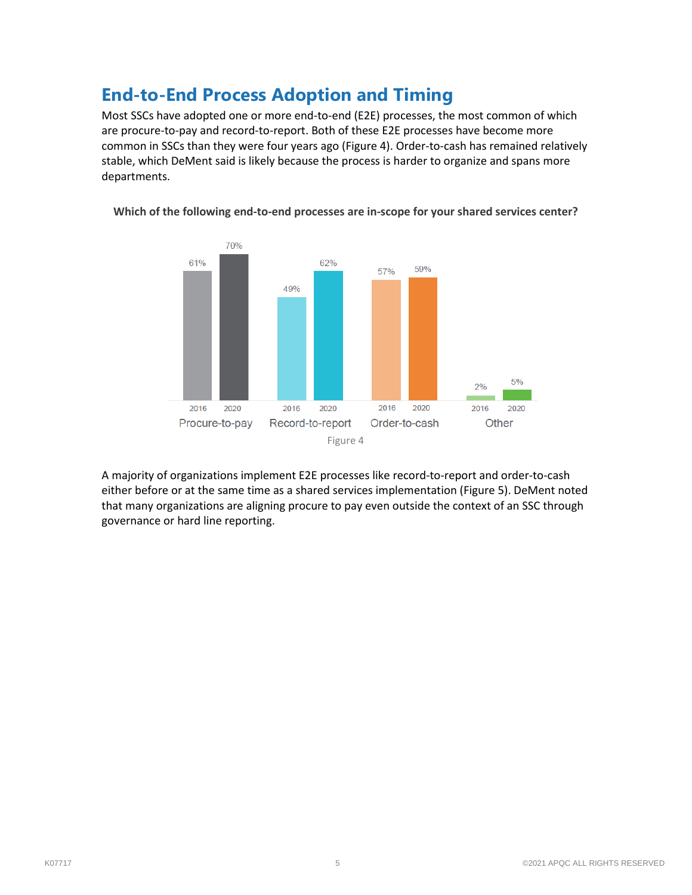### **End-to-End Process Adoption and Timing**

Most SSCs have adopted one or more end-to-end (E2E) processes, the most common of which are procure-to-pay and record-to-report. Both of these E2E processes have become more common in SSCs than they were four years ago (Figure 4). Order-to-cash has remained relatively stable, which DeMent said is likely because the process is harder to organize and spans more departments.



**Which of the following end-to-end processes are in-scope for your shared services center?**

A majority of organizations implement E2E processes like record-to-report and order-to-cash either before or at the same time as a shared services implementation (Figure 5). DeMent noted that many organizations are aligning procure to pay even outside the context of an SSC through governance or hard line reporting.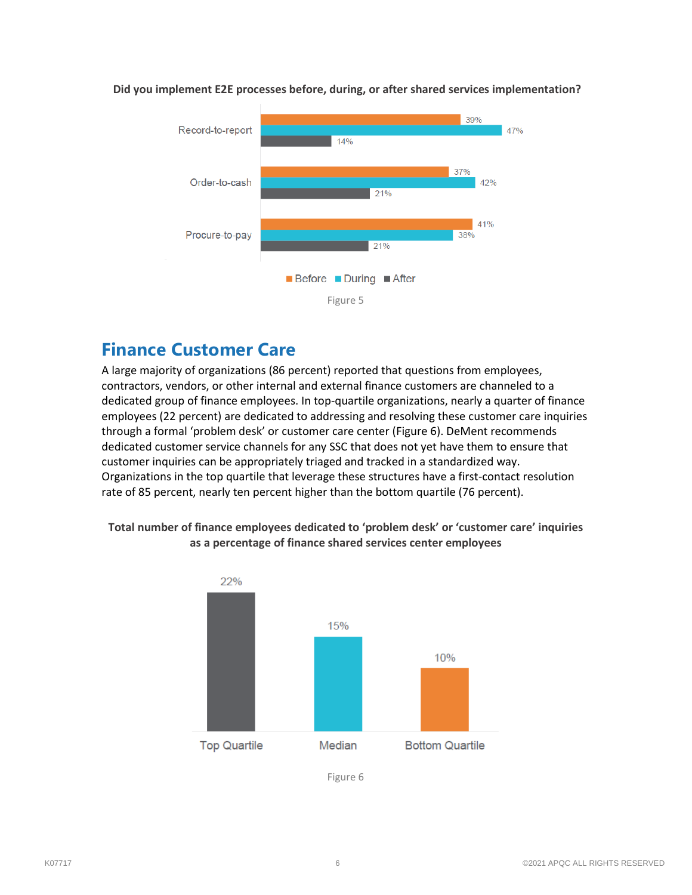

#### **Did you implement E2E processes before, during, or after shared services implementation?**

### **Finance Customer Care**

A large majority of organizations (86 percent) reported that questions from employees, contractors, vendors, or other internal and external finance customers are channeled to a dedicated group of finance employees. In top-quartile organizations, nearly a quarter of finance employees (22 percent) are dedicated to addressing and resolving these customer care inquiries through a formal 'problem desk' or customer care center (Figure 6). DeMent recommends dedicated customer service channels for any SSC that does not yet have them to ensure that customer inquiries can be appropriately triaged and tracked in a standardized way. Organizations in the top quartile that leverage these structures have a first-contact resolution rate of 85 percent, nearly ten percent higher than the bottom quartile (76 percent).

#### **Total number of finance employees dedicated to 'problem desk' or 'customer care' inquiries as a percentage of finance shared services center employees**